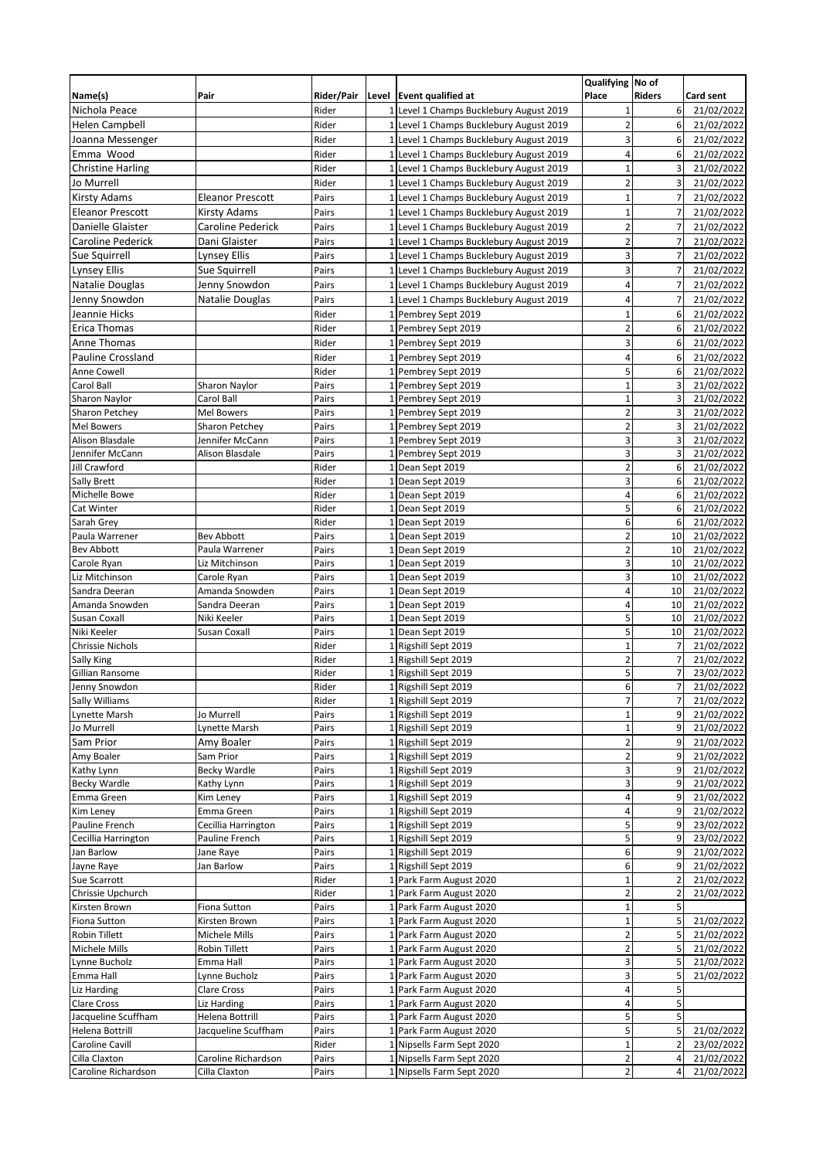|                             |                              |                |                 |                                                  | Qualifying No of         |                |                          |
|-----------------------------|------------------------------|----------------|-----------------|--------------------------------------------------|--------------------------|----------------|--------------------------|
| Name(s)                     | Pair                         | Rider/Pair     | Level           | <b>Event qualified at</b>                        | Place                    | <b>Riders</b>  | Card sent                |
| Nichola Peace               |                              | Rider          |                 | Level 1 Champs Bucklebury August 2019            | 1                        | 6              | 21/02/2022               |
| <b>Helen Campbell</b>       |                              | Rider          |                 | 1 Level 1 Champs Bucklebury August 2019          | $\overline{c}$           | 6              | 21/02/2022               |
| Joanna Messenger            |                              | Rider          |                 | 1 Level 1 Champs Bucklebury August 2019          | 3                        | 6              | 21/02/2022               |
| Emma Wood                   |                              | Rider          |                 | 1 Level 1 Champs Bucklebury August 2019          | 4                        | 6              | 21/02/2022               |
| <b>Christine Harling</b>    |                              | Rider          | 1               | Level 1 Champs Bucklebury August 2019            | $\mathbf{1}$             | 3              | 21/02/2022               |
| Jo Murrell                  |                              | Rider          | $1\overline{ }$ | Level 1 Champs Bucklebury August 2019            | $\overline{c}$           | 3              | 21/02/2022               |
| <b>Kirsty Adams</b>         | <b>Eleanor Prescott</b>      | Pairs          | 1               | Level 1 Champs Bucklebury August 2019            | $\mathbf{1}$             | 7              | 21/02/2022               |
| <b>Eleanor Prescott</b>     | Kirsty Adams                 | Pairs          |                 | 1 Level 1 Champs Bucklebury August 2019          | $\mathbf{1}$             | $\overline{7}$ | 21/02/2022               |
| Danielle Glaister           | Caroline Pederick            | Pairs          | $\mathbf{1}$    | Level 1 Champs Bucklebury August 2019            | $\overline{\mathbf{c}}$  | 7              | 21/02/2022               |
| Caroline Pederick           | Dani Glaister                | Pairs          |                 | 1 Level 1 Champs Bucklebury August 2019          | $\overline{\mathbf{c}}$  | $\overline{7}$ | 21/02/2022               |
| Sue Squirrell               | Lynsey Ellis                 | Pairs          | $\mathbf{1}$    | Level 1 Champs Bucklebury August 2019            | 3                        | 7              | 21/02/2022               |
| <b>Lynsey Ellis</b>         | Sue Squirrell                | Pairs          |                 | 1 Level 1 Champs Bucklebury August 2019          | 3                        | $\overline{7}$ | 21/02/2022               |
| Natalie Douglas             | Jenny Snowdon                | Pairs          | 1               | Level 1 Champs Bucklebury August 2019            | 4                        | $\overline{7}$ | 21/02/2022               |
| Jenny Snowdon               | Natalie Douglas              | Pairs          | $\mathbf{1}$    | Level 1 Champs Bucklebury August 2019            | 4                        | $\overline{7}$ | 21/02/2022               |
| Jeannie Hicks               |                              | Rider          | 1               | Pembrey Sept 2019                                | $\overline{1}$           | 6              | 21/02/2022               |
| <b>Erica Thomas</b>         |                              | Rider          |                 | 1 Pembrey Sept 2019                              | $\overline{2}$           | 6              | 21/02/2022               |
| Anne Thomas                 |                              | Rider          |                 | 1 Pembrey Sept 2019                              | $\overline{3}$           | 6              | 21/02/2022               |
| <b>Pauline Crossland</b>    |                              | Rider          | 1               | Pembrey Sept 2019                                | 4                        | 6              | 21/02/2022               |
| Anne Cowell                 |                              | Rider          |                 | 1 Pembrey Sept 2019                              | 5                        | 6              | 21/02/2022               |
| Carol Ball                  | <b>Sharon Naylor</b>         | Pairs          |                 | 1 Pembrey Sept 2019                              | $\overline{1}$           | 3              | 21/02/2022               |
| Sharon Naylor               | Carol Ball                   | Pairs          | 1               | Pembrey Sept 2019                                | $\mathbf{1}$             | 3              | 21/02/2022               |
| Sharon Petchey              | Mel Bowers                   | Pairs          | $\mathbf{1}$    | Pembrey Sept 2019                                | $\overline{2}$           | 3              | 21/02/2022               |
| <b>Mel Bowers</b>           | <b>Sharon Petchey</b>        | Pairs          |                 | 1 Pembrey Sept 2019                              | $\overline{2}$           | 3              | 21/02/2022               |
| <b>Alison Blasdale</b>      | Jennifer McCann              | Pairs          | 1               | Pembrey Sept 2019                                | 3                        | 3              | 21/02/2022               |
| Jennifer McCann             | Alison Blasdale              | Pairs          | 1               | Pembrey Sept 2019                                | 3                        | 3              | 21/02/2022               |
| Jill Crawford               |                              | Rider          |                 | 1 Dean Sept 2019                                 | $\overline{2}$           | 6              | 21/02/2022               |
| <b>Sally Brett</b>          |                              | Rider          | 1               | Dean Sept 2019                                   | 3                        | 6              | 21/02/2022               |
| <b>Michelle Bowe</b>        |                              | Rider          | $\mathbf 1$     | Dean Sept 2019                                   | 4                        | 6              | 21/02/2022               |
| Cat Winter                  |                              | Rider          |                 | 1 Dean Sept 2019                                 | 5                        | 6              | 21/02/2022               |
| Sarah Grey                  |                              | Rider          |                 | 1 Dean Sept 2019                                 | 6                        | 6              | 21/02/2022               |
| Paula Warrener              | <b>Bev Abbott</b>            | Pairs          | $1\overline{ }$ | Dean Sept 2019                                   | $\overline{2}$           | 10             | 21/02/2022               |
| <b>Bev Abbott</b>           | Paula Warrener               | Pairs          |                 | 1 Dean Sept 2019                                 | $\overline{2}$           | 10             | 21/02/2022               |
| Carole Ryan                 | Liz Mitchinson               | Pairs          |                 | 1 Dean Sept 2019                                 | 3                        | 10             | 21/02/2022               |
| Liz Mitchinson              | Carole Ryan                  | Pairs          | 1               | Dean Sept 2019                                   | 3                        | 10             | 21/02/2022               |
| Sandra Deeran               | Amanda Snowden               | Pairs          | $\mathbf{1}$    | Dean Sept 2019                                   | 4                        | 10             | 21/02/2022               |
| Amanda Snowden              | Sandra Deeran                | Pairs          |                 | 1 Dean Sept 2019                                 | 4                        | 10             | 21/02/2022               |
| Susan Coxall<br>Niki Keeler | Niki Keeler                  | Pairs<br>Pairs | $\mathbf{1}$    | Dean Sept 2019<br>1 Dean Sept 2019               | 5<br>5                   | 10<br>10       | 21/02/2022<br>21/02/2022 |
| <b>Chrissie Nichols</b>     | Susan Coxall                 | Rider          | 1               | Rigshill Sept 2019                               | $\mathbf{1}$             | $\overline{7}$ | 21/02/2022               |
| Sally King                  |                              | Rider          | 1               | Rigshill Sept 2019                               | $\overline{2}$           | $\overline{7}$ | 21/02/2022               |
| Gillian Ransome             |                              | Rider          |                 | 1 Rigshill Sept 2019                             | 5                        | $\overline{7}$ | 23/02/2022               |
| Jenny Snowdon               |                              | Rider          |                 | 1 Rigshill Sept 2019                             | 6                        | $\overline{7}$ | 21/02/2022               |
| <b>Sally Williams</b>       |                              | Rider          |                 | 1 Rigshill Sept 2019                             | $\overline{\phantom{a}}$ | $\overline{7}$ | 21/02/2022               |
| Lynette Marsh               | Jo Murrell                   | Pairs          |                 | 1 Rigshill Sept 2019                             | $\overline{1}$           | 9              | 21/02/2022               |
| Jo Murrell                  | Lynette Marsh                | Pairs          |                 | 1 Rigshill Sept 2019                             | 1                        | 9              | 21/02/2022               |
| Sam Prior                   | Amy Boaler                   | Pairs          |                 | 1 Rigshill Sept 2019                             | $\overline{c}$           | 9              | 21/02/2022               |
| Amy Boaler                  | Sam Prior                    | Pairs          |                 | 1 Rigshill Sept 2019                             | $\overline{\mathbf{c}}$  | 9              | 21/02/2022               |
| Kathy Lynn                  | <b>Becky Wardle</b>          | Pairs          |                 | 1 Rigshill Sept 2019                             | 3                        | 9              | 21/02/2022               |
| Becky Wardle                | Kathy Lynn                   | Pairs          |                 | 1 Rigshill Sept 2019                             | 3                        | 9              | 21/02/2022               |
| Emma Green                  | Kim Leney                    | Pairs          |                 | 1 Rigshill Sept 2019                             | 4                        | 9              | 21/02/2022               |
| Kim Leney                   | Emma Green                   | Pairs          |                 | 1 Rigshill Sept 2019                             | 4                        | 9              | 21/02/2022               |
| Pauline French              | Cecillia Harrington          | Pairs          |                 | 1 Rigshill Sept 2019                             | 5                        | 9              | 23/02/2022               |
| Cecillia Harrington         | Pauline French               | Pairs          |                 | 1 Rigshill Sept 2019                             | 5                        | 9              | 23/02/2022               |
| Jan Barlow                  | Jane Raye                    | Pairs          |                 | 1 Rigshill Sept 2019                             | 6                        | 9              | 21/02/2022               |
| Jayne Raye                  | Jan Barlow                   | Pairs          |                 | 1 Rigshill Sept 2019                             | 6                        | 9              | 21/02/2022               |
| Sue Scarrott                |                              | Rider          |                 | 1 Park Farm August 2020                          | $\mathbf{1}$             |                | 21/02/2022               |
| Chrissie Upchurch           |                              | Rider          | $\mathbf{1}$    | Park Farm August 2020                            | $\overline{\mathbf{c}}$  | $\overline{2}$ | 21/02/2022               |
| Kirsten Brown               | Fiona Sutton                 | Pairs          |                 | 1 Park Farm August 2020                          | $\mathbf{1}$             | 5              |                          |
| Fiona Sutton                | Kirsten Brown                | Pairs          |                 | 1 Park Farm August 2020                          | $\mathbf 1$              | 5              | 21/02/2022               |
| Robin Tillett               | Michele Mills                | Pairs          |                 | 1 Park Farm August 2020                          | $\overline{\mathbf{c}}$  | 5              | 21/02/2022               |
| Michele Mills               | Robin Tillett                | Pairs          | $\mathbf{1}$    | 1 Park Farm August 2020                          | $\overline{2}$           | 5<br>5         | 21/02/2022               |
| Lynne Bucholz               | Emma Hall                    | Pairs          |                 | Park Farm August 2020<br>1 Park Farm August 2020 | 3<br>3                   | 5              | 21/02/2022               |
| Emma Hall<br>Liz Harding    | Lynne Bucholz<br>Clare Cross | Pairs<br>Pairs |                 | 1 Park Farm August 2020                          | 4                        | 5              | 21/02/2022               |
| <b>Clare Cross</b>          | Liz Harding                  | Pairs          | $\mathbf{1}$    | Park Farm August 2020                            | 4                        | 5              |                          |
| Jacqueline Scuffham         | Helena Bottrill              | Pairs          |                 | 1 Park Farm August 2020                          | 5                        | 5              |                          |
| Helena Bottrill             | Jacqueline Scuffham          | Pairs          | 1               | Park Farm August 2020                            | 5                        | 5              | 21/02/2022               |
| Caroline Cavill             |                              | Rider          | $\mathbf{1}$    | Nipsells Farm Sept 2020                          | $\mathbf{1}$             |                | 23/02/2022               |
| Cilla Claxton               | Caroline Richardson          | Pairs          | $\mathbf{1}$    | Nipsells Farm Sept 2020                          | $\overline{\mathbf{c}}$  |                | 21/02/2022               |
| Caroline Richardson         | Cilla Claxton                | Pairs          |                 | 1 Nipsells Farm Sept 2020                        | $\overline{\mathbf{c}}$  | 4              | 21/02/2022               |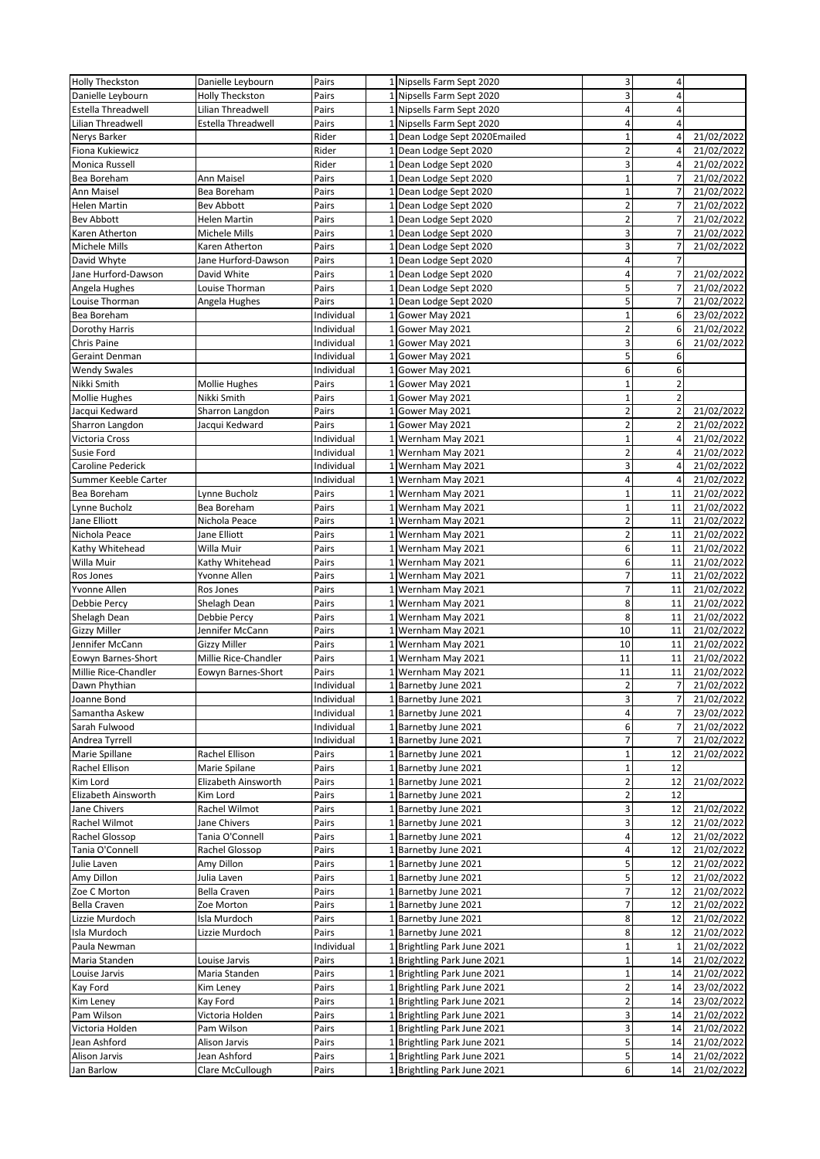| <b>Holly Theckston</b>   | Danielle Leybourn         | Pairs      |                 | 1 Nipsells Farm Sept 2020     | 3                       | 4              |            |
|--------------------------|---------------------------|------------|-----------------|-------------------------------|-------------------------|----------------|------------|
| Danielle Leybourn        | <b>Holly Theckston</b>    | Pairs      |                 | 1 Nipsells Farm Sept 2020     | 3                       | $\overline{4}$ |            |
| Estella Threadwell       | Lilian Threadwell         | Pairs      |                 | 1 Nipsells Farm Sept 2020     | 4                       | $\overline{4}$ |            |
| <b>Lilian Threadwell</b> | <b>Estella Threadwell</b> | Pairs      | $1\overline{ }$ | Nipsells Farm Sept 2020       | 4                       | $\overline{4}$ |            |
| Nerys Barker             |                           | Rider      |                 | 1 Dean Lodge Sept 2020Emailed | $\mathbf{1}$            | $\overline{4}$ | 21/02/2022 |
| Fiona Kukiewicz          |                           | Rider      |                 | 1 Dean Lodge Sept 2020        | $\overline{\mathbf{c}}$ | $\overline{4}$ | 21/02/2022 |
| Monica Russell           |                           | Rider      |                 |                               | 3                       | $\overline{4}$ | 21/02/2022 |
|                          |                           |            |                 | 1 Dean Lodge Sept 2020        |                         |                |            |
| Bea Boreham              | Ann Maisel                | Pairs      |                 | 1 Dean Lodge Sept 2020        | $\mathbf{1}$            | $\overline{7}$ | 21/02/2022 |
| Ann Maisel               | Bea Boreham               | Pairs      | $\mathbf{1}$    | Dean Lodge Sept 2020          | $\mathbf{1}$            |                | 21/02/2022 |
| Helen Martin             | Bev Abbott                | Pairs      |                 | 1 Dean Lodge Sept 2020        | $\overline{\mathbf{c}}$ | $\overline{7}$ | 21/02/2022 |
| <b>Bev Abbott</b>        | Helen Martin              | Pairs      | 1               | Dean Lodge Sept 2020          | $\overline{a}$          | $\overline{7}$ | 21/02/2022 |
| Karen Atherton           | Michele Mills             | Pairs      | $\mathbf{1}$    | Dean Lodge Sept 2020          | 3                       |                | 21/02/2022 |
| Michele Mills            | Karen Atherton            | Pairs      |                 | 1 Dean Lodge Sept 2020        | 3                       | $\overline{7}$ | 21/02/2022 |
| David Whyte              | Jane Hurford-Dawson       | Pairs      | 1               | Dean Lodge Sept 2020          | 4                       | $\overline{7}$ |            |
| Jane Hurford-Dawson      | David White               | Pairs      | $\mathbf{1}$    | Dean Lodge Sept 2020          | 4                       | $\overline{7}$ | 21/02/2022 |
| Angela Hughes            | Louise Thorman            | Pairs      |                 | 1 Dean Lodge Sept 2020        | 5                       | $\overline{7}$ | 21/02/2022 |
| Louise Thorman           | Angela Hughes             | Pairs      |                 | 1 Dean Lodge Sept 2020        | 5                       | $\overline{7}$ | 21/02/2022 |
| Bea Boreham              |                           | Individual | $\mathbf{1}$    | Gower May 2021                | $\overline{1}$          | 6              | 23/02/2022 |
| Dorothy Harris           |                           | Individual | 1               | Gower May 2021                | $\overline{2}$          | 6              | 21/02/2022 |
| Chris Paine              |                           | Individual | 1               | Gower May 2021                | 3                       | 6              | 21/02/2022 |
| <b>Geraint Denman</b>    |                           | Individual | 1               |                               | 5                       | 6              |            |
|                          |                           |            |                 | Gower May 2021                |                         |                |            |
| <b>Wendy Swales</b>      |                           | Individual | 1               | Gower May 2021                | 6                       | 6              |            |
| Nikki Smith              | <b>Mollie Hughes</b>      | Pairs      |                 | 1 Gower May 2021              | $\overline{1}$          | $\overline{2}$ |            |
| <b>Mollie Hughes</b>     | Nikki Smith               | Pairs      | 1               | Gower May 2021                | $\overline{1}$          | $\overline{2}$ |            |
| Jacqui Kedward           | Sharron Langdon           | Pairs      | $\mathbf{1}$    | Gower May 2021                | $\overline{2}$          | $\overline{2}$ | 21/02/2022 |
| Sharron Langdon          | Jacqui Kedward            | Pairs      | $\mathbf{1}$    | Gower May 2021                | $\overline{2}$          | $\overline{2}$ | 21/02/2022 |
| Victoria Cross           |                           | Individual |                 | Wernham May 2021              | $\overline{1}$          | 4              | 21/02/2022 |
| Susie Ford               |                           | Individual |                 | 1 Wernham May 2021            | $\overline{2}$          | $\overline{4}$ | 21/02/2022 |
| Caroline Pederick        |                           | Individual |                 | 1 Wernham May 2021            | 3                       | $\overline{4}$ | 21/02/2022 |
| Summer Keeble Carter     |                           | Individual | 1               | Wernham May 2021              | 4                       | 4              | 21/02/2022 |
| Bea Boreham              | Lynne Bucholz             | Pairs      |                 | 1 Wernham May 2021            | $\mathbf{1}$            | 11             | 21/02/2022 |
| Lynne Bucholz            | Bea Boreham               | Pairs      |                 | 1 Wernham May 2021            | $\overline{1}$          | 11             | 21/02/2022 |
| Jane Elliott             | Nichola Peace             | Pairs      | 1               | Wernham May 2021              | $\overline{a}$          | 11             | 21/02/2022 |
| Nichola Peace            | Jane Elliott              | Pairs      |                 | 1 Wernham May 2021            | $\overline{\mathbf{c}}$ | 11             | 21/02/2022 |
| Kathy Whitehead          | Willa Muir                | Pairs      |                 | 1 Wernham May 2021            | 6                       | 11             | 21/02/2022 |
|                          |                           |            |                 |                               |                         |                |            |
| Willa Muir               | Kathy Whitehead           | Pairs      | 1               | Wernham May 2021              | 6<br>$\overline{7}$     | 11             | 21/02/2022 |
| Ros Jones                | Yvonne Allen              | Pairs      | $\mathbf{1}$    | Wernham May 2021              |                         | 11             | 21/02/2022 |
| Yvonne Allen             | Ros Jones                 | Pairs      |                 | 1 Wernham May 2021            | $\overline{7}$          | 11             | 21/02/2022 |
| Debbie Percy             | Shelagh Dean              | Pairs      | 1               | Wernham May 2021              | 8                       | 11             | 21/02/2022 |
| Shelagh Dean             | Debbie Percy              | Pairs      | $\mathbf{1}$    | Wernham May 2021              | 8                       | 11             | 21/02/2022 |
| <b>Gizzy Miller</b>      | Jennifer McCann           | Pairs      | $\mathbf{1}$    | Wernham May 2021              | 10                      | 11             | 21/02/2022 |
| Jennifer McCann          | <b>Gizzy Miller</b>       | Pairs      | 1               | Wernham May 2021              | 10                      | 11             | 21/02/2022 |
| Eowyn Barnes-Short       | Millie Rice-Chandler      | Pairs      | $\mathbf 1$     | Wernham May 2021              | 11                      | 11             | 21/02/2022 |
| Millie Rice-Chandler     | Eowyn Barnes-Short        | Pairs      | $1\overline{ }$ | Wernham May 2021              | 11                      | 11             | 21/02/2022 |
| Dawn Phythian            |                           | Individual |                 | 1 Barnetby June 2021          | $\overline{2}$          | $\overline{7}$ | 21/02/2022 |
| Joanne Bond              |                           | Individual |                 | 1 Barnetby June 2021          | 3                       | 7              | 21/02/2022 |
| Samantha Askew           |                           | Individual |                 | 1 Barnetby June 2021          | 4                       | $\overline{7}$ | 23/02/2022 |
| Sarah Fulwood            |                           | Individual | 1               | Barnetby June 2021            | 6                       | 7              | 21/02/2022 |
| Andrea Tyrrell           |                           | Individual |                 | 1 Barnetby June 2021          | $\overline{7}$          | $\overline{7}$ | 21/02/2022 |
| Marie Spillane           | Rachel Ellison            | Pairs      |                 | 1 Barnetby June 2021          | $\mathbf 1$             | 12             | 21/02/2022 |
|                          |                           |            |                 |                               |                         |                |            |
| Rachel Ellison           | Marie Spilane             | Pairs      |                 | 1 Barnetby June 2021          | $\mathbf{1}$            | 12             |            |
| Kim Lord                 | Elizabeth Ainsworth       | Pairs      |                 | 1 Barnetby June 2021          | $\overline{\mathbf{c}}$ | 12             | 21/02/2022 |
| Elizabeth Ainsworth      | Kim Lord                  | Pairs      |                 | 1 Barnetby June 2021          | $\overline{2}$          | 12             |            |
| Jane Chivers             | Rachel Wilmot             | Pairs      |                 | 1 Barnetby June 2021          | 3                       | 12             | 21/02/2022 |
| Rachel Wilmot            | Jane Chivers              | Pairs      |                 | Barnetby June 2021            | 3                       | 12             | 21/02/2022 |
| Rachel Glossop           | Tania O'Connell           | Pairs      |                 | 1 Barnetby June 2021          | 4                       | 12             | 21/02/2022 |
| Tania O'Connell          | Rachel Glossop            | Pairs      |                 | 1 Barnetby June 2021          | 4                       | 12             | 21/02/2022 |
| Julie Laven              | Amy Dillon                | Pairs      |                 | 1 Barnetby June 2021          | 5                       | 12             | 21/02/2022 |
| Amy Dillon               | Julia Laven               | Pairs      |                 | 1 Barnetby June 2021          | 5                       | 12             | 21/02/2022 |
| Zoe C Morton             | <b>Bella Craven</b>       | Pairs      |                 | 1 Barnetby June 2021          | 7                       | 12             | 21/02/2022 |
| Bella Craven             | Zoe Morton                | Pairs      |                 | 1 Barnetby June 2021          | 7                       | 12             | 21/02/2022 |
| Lizzie Murdoch           | Isla Murdoch              | Pairs      |                 | 1 Barnetby June 2021          | 8                       | 12             | 21/02/2022 |
| Isla Murdoch             | Lizzie Murdoch            | Pairs      |                 | 1 Barnetby June 2021          | 8                       | 12             | 21/02/2022 |
| Paula Newman             |                           | Individual |                 | 1 Brightling Park June 2021   | $\mathbf{1}$            | $\mathbf{1}$   | 21/02/2022 |
| Maria Standen            | Louise Jarvis             | Pairs      |                 | 1 Brightling Park June 2021   | $\mathbf{1}$            | 14             | 21/02/2022 |
|                          |                           |            |                 |                               |                         |                |            |
| Louise Jarvis            | Maria Standen             | Pairs      |                 | 1 Brightling Park June 2021   | $\mathbf 1$             | 14             | 21/02/2022 |
| Kay Ford                 | Kim Leney                 | Pairs      |                 | 1 Brightling Park June 2021   | $\overline{2}$          | 14             | 23/02/2022 |
| Kim Leney                | Kay Ford                  | Pairs      |                 | 1 Brightling Park June 2021   | $\overline{2}$          | 14             | 23/02/2022 |
| Pam Wilson               | Victoria Holden           | Pairs      |                 | 1 Brightling Park June 2021   | 3                       | 14             | 21/02/2022 |
| Victoria Holden          | Pam Wilson                | Pairs      |                 | 1 Brightling Park June 2021   | 3                       | 14             | 21/02/2022 |
| Jean Ashford             | Alison Jarvis             | Pairs      |                 | 1 Brightling Park June 2021   | 5                       | 14             | 21/02/2022 |
| Alison Jarvis            | Jean Ashford              | Pairs      |                 | 1 Brightling Park June 2021   | 5                       | 14             | 21/02/2022 |
| Jan Barlow               | Clare McCullough          | Pairs      |                 | 1 Brightling Park June 2021   | 6                       | 14             | 21/02/2022 |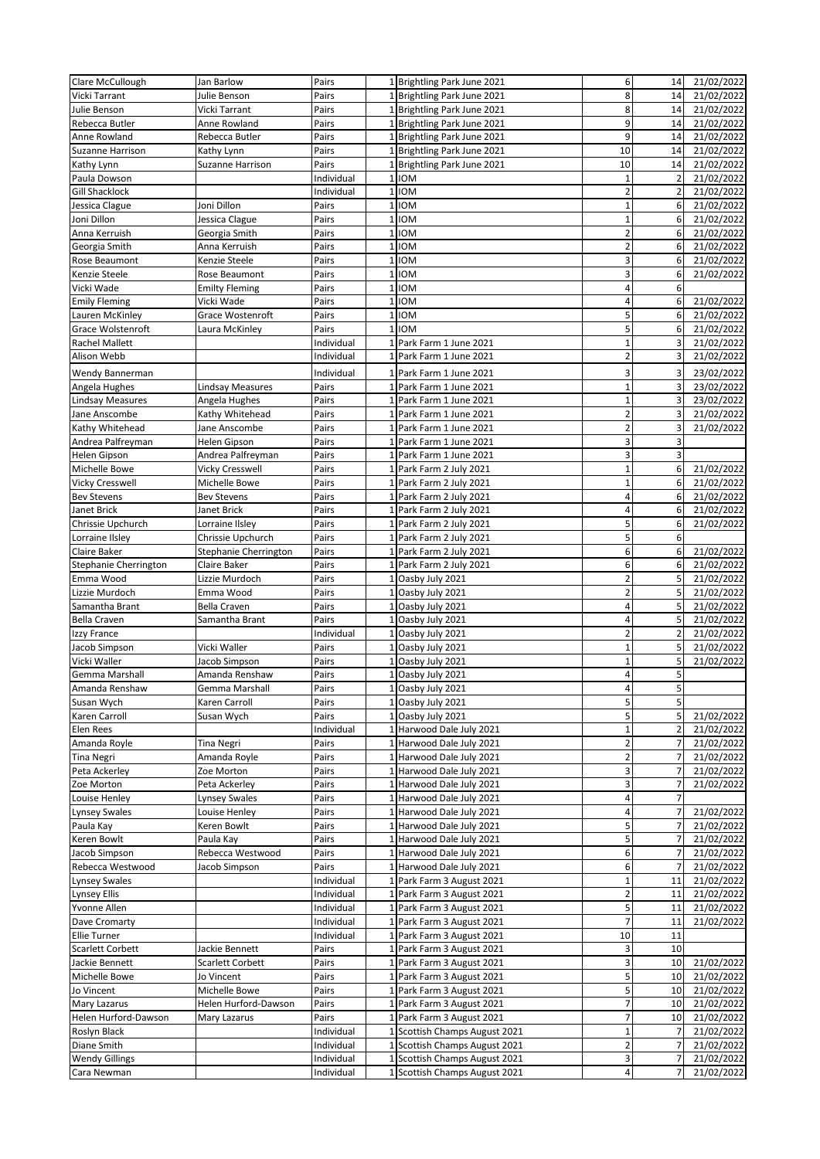| Clare McCullough        | Jan Barlow            | Pairs      |                 | 1 Brightling Park June 2021   | 6                       | 14             | 21/02/2022 |
|-------------------------|-----------------------|------------|-----------------|-------------------------------|-------------------------|----------------|------------|
| Vicki Tarrant           | Julie Benson          | Pairs      |                 | 1 Brightling Park June 2021   | 8                       | 14             | 21/02/2022 |
| Julie Benson            | Vicki Tarrant         | Pairs      |                 | 1 Brightling Park June 2021   | 8                       | 14             | 21/02/2022 |
| Rebecca Butler          | Anne Rowland          | Pairs      |                 | 1 Brightling Park June 2021   | 9                       | 14             | 21/02/2022 |
| Anne Rowland            | Rebecca Butler        | Pairs      |                 | 1 Brightling Park June 2021   | 9                       | 14             | 21/02/2022 |
| <b>Suzanne Harrison</b> | Kathy Lynn            | Pairs      | 1               | Brightling Park June 2021     | 10                      | 14             | 21/02/2022 |
| Kathy Lynn              | Suzanne Harrison      | Pairs      |                 | 1 Brightling Park June 2021   | 10                      | 14             | 21/02/2022 |
| Paula Dowson            |                       | Individual | $1\overline{ }$ | <b>IOM</b>                    | $\mathbf 1$             | $\overline{2}$ | 21/02/2022 |
| <b>Gill Shacklock</b>   |                       | Individual | $\mathbf 1$     | <b>IOM</b>                    | $\overline{2}$          | $\overline{2}$ | 21/02/2022 |
| Jessica Clague          | Joni Dillon           | Pairs      | $\mathbf{1}$    | <b>IOM</b>                    | $\mathbf 1$             | 6              | 21/02/2022 |
| Joni Dillon             | Jessica Clague        | Pairs      | $\mathbf{1}$    | <b>IOM</b>                    | $\mathbf 1$             | 6              | 21/02/2022 |
| Anna Kerruish           | Georgia Smith         | Pairs      | 1               | <b>IOM</b>                    | $\overline{2}$          | 6              | 21/02/2022 |
| Georgia Smith           | Anna Kerruish         | Pairs      | $\mathbf 1$     | <b>IOM</b>                    | $\overline{2}$          | 6              | 21/02/2022 |
| Rose Beaumont           | Kenzie Steele         | Pairs      | $1\vert$        | <b>IOM</b>                    | 3                       | 6              | 21/02/2022 |
| Kenzie Steele           | Rose Beaumont         | Pairs      | 1               | <b>IOM</b>                    | 3                       | 6              | 21/02/2022 |
| Vicki Wade              | <b>Emilty Fleming</b> | Pairs      | $\mathbf{1}$    | <b>IOM</b>                    | 4                       | 6              |            |
| <b>Emily Fleming</b>    | Vicki Wade            | Pairs      | $\mathbf{1}$    | <b>IOM</b>                    | $\overline{4}$          | 6              | 21/02/2022 |
| Lauren McKinley         | Grace Wostenroft      | Pairs      | 1               | <b>IOM</b>                    | 5                       | 6              | 21/02/2022 |
| Grace Wolstenroft       | Laura McKinley        | Pairs      | $\mathbf{1}$    | <b>IOM</b>                    | 5                       | 6              | 21/02/2022 |
| Rachel Mallett          |                       | Individual | 11              | Park Farm 1 June 2021         | $\mathbf 1$             | 3              | 21/02/2022 |
| Alison Webb             |                       | Individual | 1               | Park Farm 1 June 2021         | $\overline{2}$          | 3              | 21/02/2022 |
| Wendy Bannerman         |                       | Individual |                 | 1 Park Farm 1 June 2021       | 3                       | 3              | 23/02/2022 |
| Angela Hughes           | Lindsay Measures      | Pairs      | 1               | Park Farm 1 June 2021         | $\mathbf 1$             | 3              | 23/02/2022 |
| <b>Lindsay Measures</b> | Angela Hughes         | Pairs      |                 | 1 Park Farm 1 June 2021       | $\mathbf 1$             | 3              | 23/02/2022 |
| Jane Anscombe           | Kathy Whitehead       | Pairs      |                 | 1 Park Farm 1 June 2021       | $\mathbf 2$             | 3              | 21/02/2022 |
| Kathy Whitehead         | Jane Anscombe         | Pairs      | 1               | Park Farm 1 June 2021         | $\overline{2}$          | 3              | 21/02/2022 |
| Andrea Palfreyman       | Helen Gipson          | Pairs      | $\mathbf{1}$    | Park Farm 1 June 2021         | 3                       | 3              |            |
| <b>Helen Gipson</b>     | Andrea Palfreyman     | Pairs      |                 | 1 Park Farm 1 June 2021       | 3                       | 3              |            |
| Michelle Bowe           | Vicky Cresswell       | Pairs      |                 | 1 Park Farm 2 July 2021       | $\mathbf{1}$            | 6              | 21/02/2022 |
| <b>Vicky Cresswell</b>  | Michelle Bowe         | Pairs      |                 | 1 Park Farm 2 July 2021       | $\mathbf 1$             | 6              | 21/02/2022 |
| <b>Bev Stevens</b>      | <b>Bev Stevens</b>    | Pairs      |                 | 1 Park Farm 2 July 2021       | $\overline{a}$          | 6              | 21/02/2022 |
| Janet Brick             | Janet Brick           | Pairs      |                 | 1 Park Farm 2 July 2021       | 4                       | 6              | 21/02/2022 |
| Chrissie Upchurch       | Lorraine Ilsley       | Pairs      |                 | 1 Park Farm 2 July 2021       | 5                       | 6              | 21/02/2022 |
| Lorraine Ilsley         | Chrissie Upchurch     | Pairs      |                 | 1 Park Farm 2 July 2021       | 5                       | 6              |            |
| Claire Baker            | Stephanie Cherrington | Pairs      | 1               | Park Farm 2 July 2021         | 6                       | 6              | 21/02/2022 |
| Stephanie Cherrington   | Claire Baker          | Pairs      |                 | 1 Park Farm 2 July 2021       | 6                       | 6              | 21/02/2022 |
| Emma Wood               | Lizzie Murdoch        | Pairs      | $\mathbf{1}$    | Oasby July 2021               | $\overline{\mathbf{c}}$ | 5              | 21/02/2022 |
| Lizzie Murdoch          | Emma Wood             | Pairs      | 1               | Oasby July 2021               | $\overline{2}$          | 5              | 21/02/2022 |
| Samantha Brant          | <b>Bella Craven</b>   | Pairs      | 1               | Oasby July 2021               | $\overline{\mathbf{4}}$ | 5              | 21/02/2022 |
| <b>Bella Craven</b>     | Samantha Brant        | Pairs      | $1\vert$        | Oasby July 2021               | $\overline{a}$          | 5              | 21/02/2022 |
| Izzy France             |                       | Individual | 1               | Oasby July 2021               | $\overline{2}$          | $\overline{2}$ | 21/02/2022 |
| Jacob Simpson           | Vicki Waller          | Pairs      | $\mathbf{1}$    | Oasby July 2021               | $\mathbf 1$             | 5              | 21/02/2022 |
| Vicki Waller            | Jacob Simpson         | Pairs      | $1\vert$        | Oasby July 2021               | $\mathbf 1$             | 5              | 21/02/2022 |
| Gemma Marshall          | Amanda Renshaw        | Pairs      |                 | 1 Oasby July 2021             | 4                       | 5              |            |
| Amanda Renshaw          | Gemma Marshall        | Pairs      |                 | 1 Oasby July 2021             | 4                       | 5              |            |
| Susan Wych              | Karen Carroll         | Pairs      |                 | 1 Oasby July 2021             | 5                       | 5              |            |
| Karen Carroll           | Susan Wych            | Pairs      |                 | 1 Oasby July 2021             | 5                       | 5              | 21/02/2022 |
| Elen Rees               |                       | Individual | 1 <sup>1</sup>  | Harwood Dale July 2021        | $\mathbf 1$             | $\overline{2}$ | 21/02/2022 |
| Amanda Royle            | Tina Negri            | Pairs      |                 | 1 Harwood Dale July 2021      | $\overline{\mathbf{c}}$ | $\overline{7}$ | 21/02/2022 |
| <b>Tina Negri</b>       | Amanda Royle          | Pairs      |                 | 1 Harwood Dale July 2021      | $\overline{2}$          | $\overline{7}$ | 21/02/2022 |
| Peta Ackerley           | Zoe Morton            | Pairs      | 1               | Harwood Dale July 2021        | 3                       | $\overline{7}$ | 21/02/2022 |
| Zoe Morton              | Peta Ackerley         | Pairs      |                 | 1 Harwood Dale July 2021      | $\overline{\mathbf{3}}$ | $\overline{7}$ | 21/02/2022 |
| Louise Henley           | <b>Lynsey Swales</b>  | Pairs      |                 | 1 Harwood Dale July 2021      | 4                       | $\overline{7}$ |            |
| <b>Lynsey Swales</b>    | Louise Henley         | Pairs      | 1               | Harwood Dale July 2021        | 4                       | $\overline{7}$ | 21/02/2022 |
| Paula Kay               | Keren Bowlt           | Pairs      |                 | 1 Harwood Dale July 2021      | 5                       | $\overline{7}$ | 21/02/2022 |
| Keren Bowlt             | Paula Kay             | Pairs      |                 | 1 Harwood Dale July 2021      | 5                       | $\overline{7}$ | 21/02/2022 |
| Jacob Simpson           | Rebecca Westwood      | Pairs      |                 | 1 Harwood Dale July 2021      | 6                       | 7              | 21/02/2022 |
| Rebecca Westwood        | Jacob Simpson         | Pairs      |                 | 1 Harwood Dale July 2021      | 6                       | $\overline{7}$ | 21/02/2022 |
| <b>Lynsey Swales</b>    |                       | Individual |                 | 1 Park Farm 3 August 2021     | $\mathbf{1}$            | 11             | 21/02/2022 |
| <b>Lynsey Ellis</b>     |                       | Individual | $\mathbf{1}$    | Park Farm 3 August 2021       | $\overline{2}$          | 11             | 21/02/2022 |
| Yvonne Allen            |                       | Individual |                 | 1 Park Farm 3 August 2021     | 5                       | 11             | 21/02/2022 |
| Dave Cromarty           |                       | Individual |                 | 1 Park Farm 3 August 2021     | $\overline{7}$          | 11             | 21/02/2022 |
| <b>Ellie Turner</b>     |                       | Individual | 1               | Park Farm 3 August 2021       | 10                      | 11             |            |
| Scarlett Corbett        | Jackie Bennett        | Pairs      |                 | 1 Park Farm 3 August 2021     | 3                       | 10             |            |
| Jackie Bennett          | Scarlett Corbett      | Pairs      |                 | 1 Park Farm 3 August 2021     | 3                       | 10             | 21/02/2022 |
| Michelle Bowe           | Jo Vincent            | Pairs      | 1               | Park Farm 3 August 2021       | 5                       | 10             | 21/02/2022 |
| Jo Vincent              | Michelle Bowe         | Pairs      |                 | 1 Park Farm 3 August 2021     | 5                       | 10             | 21/02/2022 |
| Mary Lazarus            | Helen Hurford-Dawson  | Pairs      |                 | 1 Park Farm 3 August 2021     | $\overline{7}$          | 10             | 21/02/2022 |
| Helen Hurford-Dawson    | Mary Lazarus          | Pairs      | 1               | Park Farm 3 August 2021       | $\overline{7}$          | 10             | 21/02/2022 |
| Roslyn Black            |                       | Individual |                 | 1 Scottish Champs August 2021 | $\mathbf 1$             | $\overline{7}$ | 21/02/2022 |
| Diane Smith             |                       | Individual |                 | 1 Scottish Champs August 2021 | $\overline{2}$          | $\overline{7}$ | 21/02/2022 |
| <b>Wendy Gillings</b>   |                       | Individual | 1               | Scottish Champs August 2021   | 3                       | 7              | 21/02/2022 |
| Cara Newman             |                       | Individual |                 | 1 Scottish Champs August 2021 | 4                       | $\overline{7}$ | 21/02/2022 |
|                         |                       |            |                 |                               |                         |                |            |